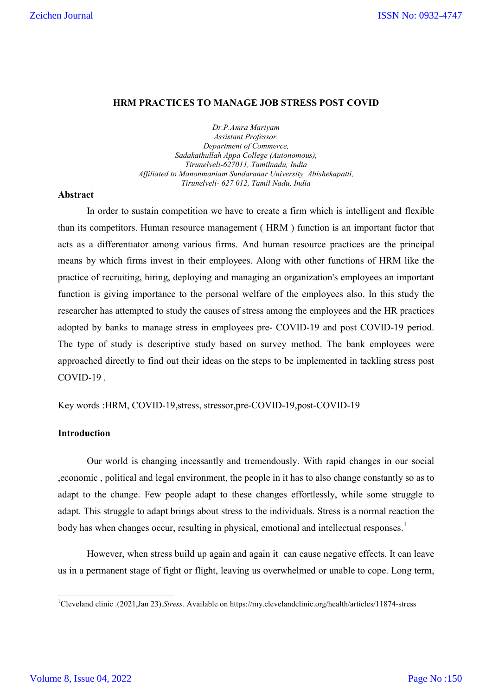#### **HRM PRACTICES TO MANAGE JOB STRESS POST COVID**

*Dr.P.Amra Mariyam Assistant Professor, Department of Commerce, Sadakathullah Appa College (Autonomous), Tirunelveli-627011, Tamilnadu, India Affiliated to Manonmaniam Sundaranar University, Abishekapatti, Tirunelveli- 627 012, Tamil Nadu, India*

## **Abstract**

In order to sustain competition we have to create a firm which is intelligent and flexible than its competitors. Human resource management ( HRM ) function is an important factor that acts as a differentiator among various firms. And human resource practices are the principal means by which firms invest in their employees. Along with other functions of HRM like the practice of recruiting, hiring, deploying and managing an organization's employees an important function is giving importance to the personal welfare of the employees also. In this study the researcher has attempted to study the causes of stress among the employees and the HR practices adopted by banks to manage stress in employees pre- COVID-19 and post COVID-19 period. The type of study is descriptive study based on survey method. The bank employees were approached directly to find out their ideas on the steps to be implemented in tackling stress post COVID-19 .

Key words :HRM, COVID-19,stress, stressor,pre-COVID-19,post-COVID-19

## **Introduction**

Our world is changing incessantly and tremendously. With rapid changes in our social ,economic , political and legal environment, the people in it has to also change constantly so as to adapt to the change. Few people adapt to these changes effortlessly, while some struggle to adapt. This struggle to adapt brings about stress to the individuals. Stress is a normal reaction the body has when changes occur, resulting in physical, emotional and intellectual responses.<sup>1</sup>

However, when stress build up again and again it can cause negative effects. It can leave us in a permanent stage of fight or flight, leaving us overwhelmed or unable to cope. Long term,

 $\frac{1}{1}$ Cleveland clinic .(2021,Jan 23).*Stress*. Available on https://my.clevelandclinic.org/health/articles/11874-stress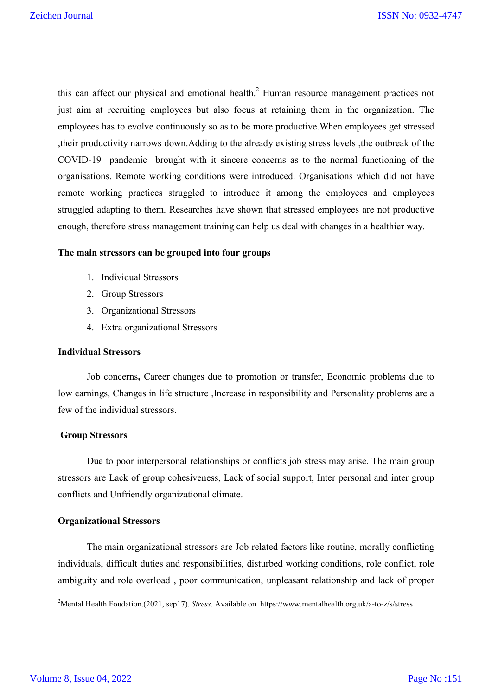this can affect our physical and emotional health.<sup>2</sup> Human resource management practices not just aim at recruiting employees but also focus at retaining them in the organization. The employees has to evolve continuously so as to be more productive.When employees get stressed ,their productivity narrows down.Adding to the already existing stress levels ,the outbreak of the COVID-19 pandemic brought with it sincere concerns as to the normal functioning of the organisations. Remote working conditions were introduced. Organisations which did not have remote working practices struggled to introduce it among the employees and employees struggled adapting to them. Researches have shown that stressed employees are not productive enough, therefore stress management training can help us deal with changes in a healthier way.

#### **The main stressors can be grouped into four groups**

- 1. Individual Stressors
- 2. Group Stressors
- 3. Organizational Stressors
- 4. Extra organizational Stressors

# **Individual Stressors**

Job concerns**,** Career changes due to promotion or transfer, Economic problems due to low earnings, Changes in life structure ,Increase in responsibility and Personality problems are a few of the individual stressors.

#### **Group Stressors**

Due to poor interpersonal relationships or conflicts job stress may arise. The main group stressors are Lack of group cohesiveness, Lack of social support, Inter personal and inter group conflicts and Unfriendly organizational climate.

## **Organizational Stressors**

 The main organizational stressors are Job related factors like routine, morally conflicting individuals, difficult duties and responsibilities, disturbed working conditions, role conflict, role ambiguity and role overload , poor communication, unpleasant relationship and lack of proper

 $\frac{1}{2}$ <sup>2</sup>Mental Health Foudation.(2021, sep17). *Stress*. Available on https://www.mentalhealth.org.uk/a-to-z/s/stress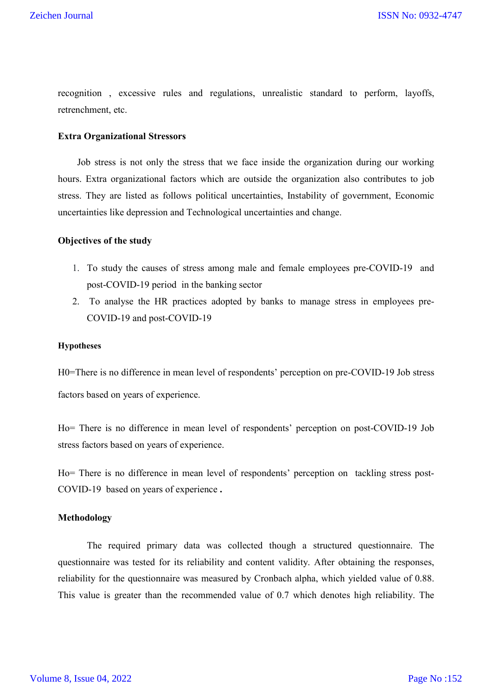recognition , excessive rules and regulations, unrealistic standard to perform, layoffs, retrenchment, etc.

#### **Extra Organizational Stressors**

 Job stress is not only the stress that we face inside the organization during our working hours. Extra organizational factors which are outside the organization also contributes to job stress. They are listed as follows political uncertainties, Instability of government, Economic uncertainties like depression and Technological uncertainties and change.

#### **Objectives of the study**

- 1. To study the causes of stress among male and female employees pre-COVID-19 and post-COVID-19 period in the banking sector
- 2. To analyse the HR practices adopted by banks to manage stress in employees pre-COVID-19 and post-COVID-19

#### **Hypotheses**

H0=There is no difference in mean level of respondents' perception on pre-COVID-19 Job stress factors based on years of experience.

Ho= There is no difference in mean level of respondents' perception on post-COVID-19 Job stress factors based on years of experience.

Ho= There is no difference in mean level of respondents' perception on tackling stress post-COVID-19 based on years of experience **.**

#### **Methodology**

The required primary data was collected though a structured questionnaire. The questionnaire was tested for its reliability and content validity. After obtaining the responses, reliability for the questionnaire was measured by Cronbach alpha, which yielded value of 0.88. This value is greater than the recommended value of 0.7 which denotes high reliability. The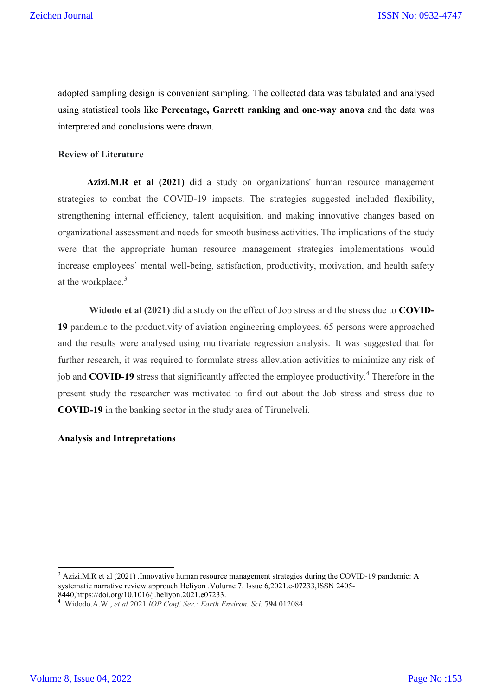adopted sampling design is convenient sampling. The collected data was tabulated and analysed using statistical tools like **Percentage, Garrett ranking and one-way anova** and the data was interpreted and conclusions were drawn.

#### **Review of Literature**

Azizi.M.R et al (2021) did a study on organizations' human resource management strategies to combat the COVID-19 impacts. The strategies suggested included flexibility, strengthening internal efficiency, talent acquisition, and making innovative changes based on organizational assessment and needs for smooth business activities. The implications of the study were that the appropriate human resource management strategies implementations would increase employees' mental well-being, satisfaction, productivity, motivation, and health safety at the workplace.<sup>3</sup>

**Widodo et al (2021)** did a study on the effect of Job stress and the stress due to **COVID-19** pandemic to the productivity of aviation engineering employees. 65 persons were approached and the results were analysed using multivariate regression analysis. It was suggested that for further research, it was required to formulate stress alleviation activities to minimize any risk of job and **COVID-19** stress that significantly affected the employee productivity.<sup>4</sup> Therefore in the present study the researcher was motivated to find out about the Job stress and stress due to **COVID-19** in the banking sector in the study area of Tirunelveli.

#### **Analysis and Intrepretations**

<sup>&</sup>lt;sup>3</sup> Azizi.M.R et al (2021) .Innovative human resource management strategies during the COVID-19 pandemic: A systematic narrative review approach.Heliyon .Volume 7. Issue 6,2021.e-07233,ISSN 2405-8440,https://doi.org/10.1016/j.heliyon.2021.e07233.

<sup>4</sup> Widodo.A.W., *et al* 2021 *IOP Conf. Ser.: Earth Environ. Sci.* **794** 012084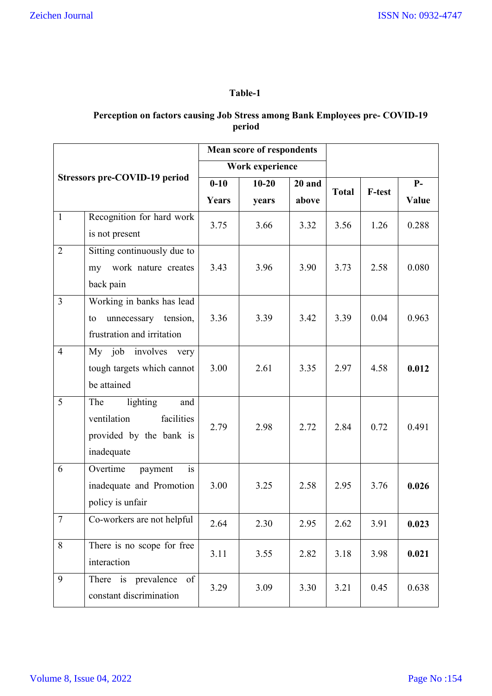# **Table-1**

# **Perception on factors causing Job Stress among Bank Employees pre- COVID-19 period**

|                |                                                      |          | <b>Mean score of respondents</b> |        |              |               |       |
|----------------|------------------------------------------------------|----------|----------------------------------|--------|--------------|---------------|-------|
|                |                                                      |          | Work experience                  |        |              |               |       |
|                | Stressors pre-COVID-19 period                        | $0 - 10$ | $10 - 20$                        | 20 and | <b>Total</b> | <b>F-test</b> | $P-$  |
|                |                                                      | Years    | years                            | above  |              |               | Value |
| $\mathbf{1}$   | Recognition for hard work                            | 3.75     | 3.66                             | 3.32   | 3.56         | 1.26          | 0.288 |
|                | is not present                                       |          |                                  |        |              |               |       |
| $\overline{2}$ | Sitting continuously due to                          |          |                                  |        |              |               |       |
|                | work nature creates<br>my                            | 3.43     | 3.96                             | 3.90   | 3.73         | 2.58          | 0.080 |
|                | back pain                                            |          |                                  |        |              |               |       |
| $\overline{3}$ | Working in banks has lead                            |          |                                  |        |              |               |       |
|                | tension,<br>unnecessary<br>to                        | 3.36     | 3.39                             | 3.42   | 3.39         | 0.04          | 0.963 |
|                | frustration and irritation                           |          |                                  |        |              |               |       |
| $\overline{4}$ | My job involves<br>very                              |          |                                  |        |              |               |       |
|                | tough targets which cannot                           | 3.00     | 2.61                             | 3.35   | 2.97         | 4.58          | 0.012 |
|                | be attained                                          |          |                                  |        |              |               |       |
| 5              | lighting<br>The<br>and                               |          |                                  |        |              |               |       |
|                | facilities<br>ventilation                            | 2.79     | 2.98                             | 2.72   | 2.84         | 0.72          | 0.491 |
|                | provided by the bank is                              |          |                                  |        |              |               |       |
|                | inadequate                                           |          |                                  |        |              |               |       |
| 6              | Overtime<br>is<br>payment                            |          |                                  |        |              |               |       |
|                | inadequate and Promotion                             | 3.00     | 3.25                             | 2.58   | 2.95         | 3.76          | 0.026 |
|                | policy is unfair                                     |          |                                  |        |              |               |       |
| $\tau$         | Co-workers are not helpful                           | 2.64     | 2.30                             | 2.95   | 2.62         | 3.91          | 0.023 |
| 8              | There is no scope for free                           | 3.11     | 3.55                             | 2.82   | 3.18         | 3.98          | 0.021 |
|                | interaction                                          |          |                                  |        |              |               |       |
| 9              | There is prevalence<br>of<br>constant discrimination | 3.29     | 3.09                             | 3.30   | 3.21         | 0.45          | 0.638 |
|                |                                                      |          |                                  |        |              |               |       |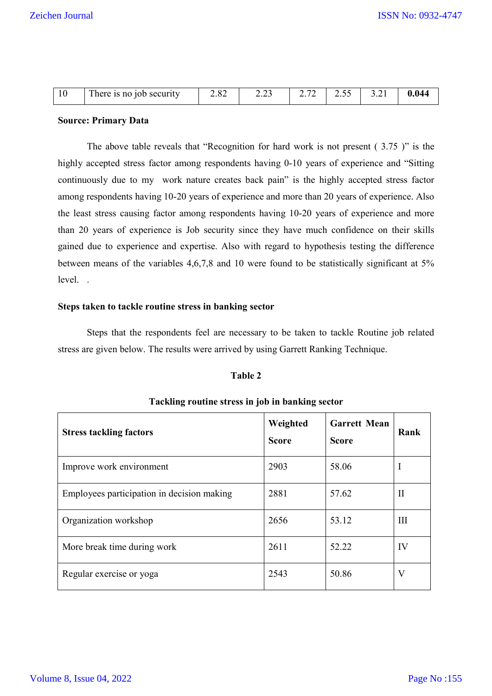|  | m<br>tob security<br>is no<br>here | . or<br>2.02 | $\sim$ | $\sim$<br>ـ ت | $ -$<br>ر. ب | J . 4 l | . |
|--|------------------------------------|--------------|--------|---------------|--------------|---------|---|
|--|------------------------------------|--------------|--------|---------------|--------------|---------|---|

#### **Source: Primary Data**

The above table reveals that "Recognition for hard work is not present ( 3.75 )" is the highly accepted stress factor among respondents having 0-10 years of experience and "Sitting continuously due to my work nature creates back pain" is the highly accepted stress factor among respondents having 10-20 years of experience and more than 20 years of experience. Also the least stress causing factor among respondents having 10-20 years of experience and more than 20 years of experience is Job security since they have much confidence on their skills gained due to experience and expertise. Also with regard to hypothesis testing the difference between means of the variables 4,6,7,8 and 10 were found to be statistically significant at 5% level. .

#### **Steps taken to tackle routine stress in banking sector**

Steps that the respondents feel are necessary to be taken to tackle Routine job related stress are given below. The results were arrived by using Garrett Ranking Technique.

## **Table 2**

| <b>Stress tackling factors</b>             | Weighted<br><b>Score</b> | <b>Garrett Mean</b><br><b>Score</b> | Rank |
|--------------------------------------------|--------------------------|-------------------------------------|------|
| Improve work environment                   | 2903                     | 58.06                               | Ι    |
| Employees participation in decision making | 2881                     | 57.62                               | Н    |
| Organization workshop                      | 2656                     | 53.12                               | Ш    |
| More break time during work                | 2611                     | 52.22                               | IV   |
| Regular exercise or yoga                   | 2543                     | 50.86                               | V    |

# **Tackling routine stress in job in banking sector**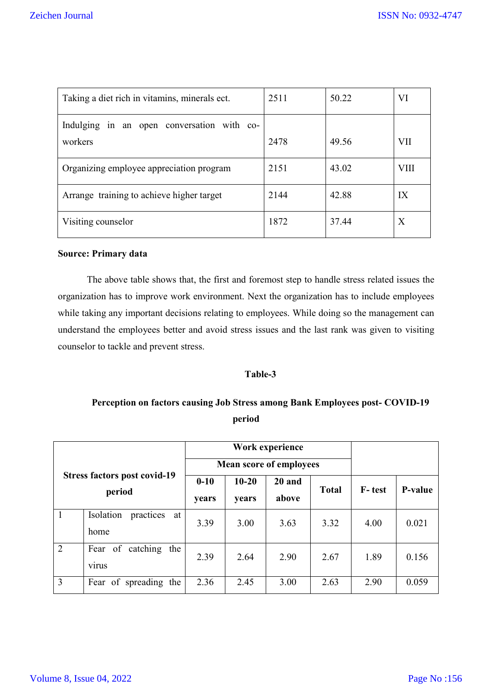| Taking a diet rich in vitamins, minerals ect.         | 2511 | 50.22 | VI   |
|-------------------------------------------------------|------|-------|------|
| Indulging in an open conversation with co-<br>workers | 2478 | 49.56 | VII  |
| Organizing employee appreciation program              | 2151 | 43.02 | VIII |
| Arrange training to achieve higher target             | 2144 | 42.88 | IX   |
| Visiting counselor                                    | 1872 | 37.44 | X    |

#### **Source: Primary data**

The above table shows that, the first and foremost step to handle stress related issues the organization has to improve work environment. Next the organization has to include employees while taking any important decisions relating to employees. While doing so the management can understand the employees better and avoid stress issues and the last rank was given to visiting counselor to tackle and prevent stress.

#### **Table-3**

# **Perception on factors causing Job Stress among Bank Employees post- COVID-19 period**

|                                               |                              |              | Work experience                |        |              |        |         |  |
|-----------------------------------------------|------------------------------|--------------|--------------------------------|--------|--------------|--------|---------|--|
|                                               |                              |              | <b>Mean score of employees</b> |        |              |        |         |  |
| <b>Stress factors post covid-19</b><br>period |                              | $0 - 10$     | $10 - 20$                      | 20 and | <b>Total</b> | F-test | P-value |  |
|                                               |                              | <b>vears</b> | <b>vears</b>                   | above  |              |        |         |  |
| $\mathbf{1}$                                  | Isolation<br>practices<br>at | 3.39         | 3.00                           | 3.63   | 3.32         | 4.00   | 0.021   |  |
|                                               | home                         |              |                                |        |              |        |         |  |
| 2                                             | of catching<br>Fear<br>the   | 2.39         | 2.64                           | 2.90   | 2.67         | 1.89   | 0.156   |  |
|                                               | <b>V1rus</b>                 |              |                                |        |              |        |         |  |
| $\overline{3}$                                | Fear of spreading the        | 2.36         | 2.45                           | 3.00   | 2.63         | 2.90   | 0.059   |  |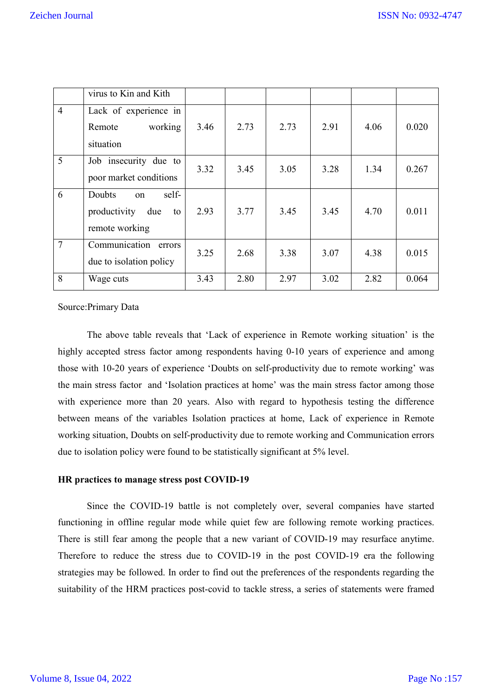|                | virus to Kin and Kith                                                |      |      |      |      |      |       |
|----------------|----------------------------------------------------------------------|------|------|------|------|------|-------|
| $\overline{4}$ | Lack of experience in<br>working<br>Remote<br>situation              | 3.46 | 2.73 | 2.73 | 2.91 | 4.06 | 0.020 |
| 5              | Job insecurity due to<br>poor market conditions                      | 3.32 | 3.45 | 3.05 | 3.28 | 1.34 | 0.267 |
| 6              | self-<br>Doubts<br>on<br>productivity<br>due<br>to<br>remote working | 2.93 | 3.77 | 3.45 | 3.45 | 4.70 | 0.011 |
| $\overline{7}$ | Communication<br>errors<br>due to isolation policy                   | 3.25 | 2.68 | 3.38 | 3.07 | 4.38 | 0.015 |
| 8              | Wage cuts                                                            | 3.43 | 2.80 | 2.97 | 3.02 | 2.82 | 0.064 |

#### Source:Primary Data

The above table reveals that 'Lack of experience in Remote working situation' is the highly accepted stress factor among respondents having 0-10 years of experience and among those with 10-20 years of experience 'Doubts on self-productivity due to remote working' was the main stress factor and 'Isolation practices at home' was the main stress factor among those with experience more than 20 years. Also with regard to hypothesis testing the difference between means of the variables Isolation practices at home, Lack of experience in Remote working situation, Doubts on self-productivity due to remote working and Communication errors due to isolation policy were found to be statistically significant at 5% level.

#### **HR practices to manage stress post COVID-19**

Since the COVID-19 battle is not completely over, several companies have started functioning in offline regular mode while quiet few are following remote working practices. There is still fear among the people that a new variant of COVID-19 may resurface anytime. Therefore to reduce the stress due to COVID-19 in the post COVID-19 era the following strategies may be followed. In order to find out the preferences of the respondents regarding the suitability of the HRM practices post-covid to tackle stress, a series of statements were framed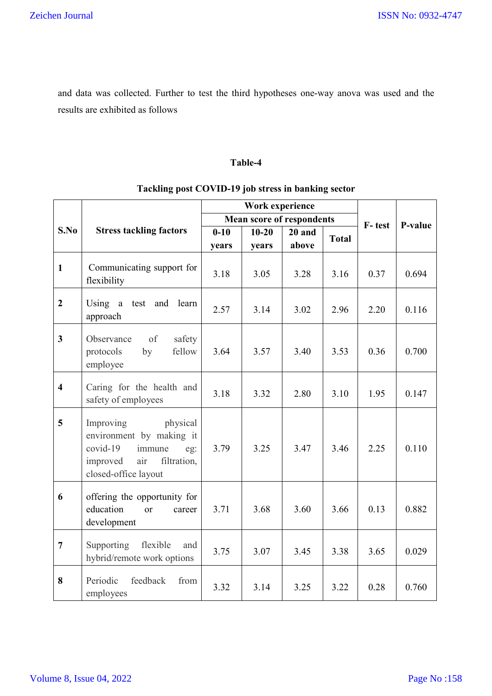and data was collected. Further to test the third hypotheses one-way anova was used and the results are exhibited as follows

## **Table-4**

# **Tackling post COVID-19 job stress in banking sector**

|                         |                                                                                                                                            |          | Work experience |                                  |              |        |         |
|-------------------------|--------------------------------------------------------------------------------------------------------------------------------------------|----------|-----------------|----------------------------------|--------------|--------|---------|
|                         |                                                                                                                                            |          |                 | <b>Mean score of respondents</b> |              | F-test | P-value |
| S.No                    | <b>Stress tackling factors</b>                                                                                                             | $0 - 10$ | $10 - 20$       | $20$ and                         | <b>Total</b> |        |         |
|                         |                                                                                                                                            | years    | years           | above                            |              |        |         |
| $\mathbf{1}$            | Communicating support for<br>flexibility                                                                                                   | 3.18     | 3.05            | 3.28                             | 3.16         | 0.37   | 0.694   |
| $\overline{2}$          | Using<br>test<br>and<br>learn<br>a<br>approach                                                                                             | 2.57     | 3.14            | 3.02                             | 2.96         | 2.20   | 0.116   |
| $\overline{\mathbf{3}}$ | of<br>safety<br>Observance<br>protocols<br>fellow<br>by<br>employee                                                                        | 3.64     | 3.57            | 3.40                             | 3.53         | 0.36   | 0.700   |
| $\overline{4}$          | Caring for the health and<br>safety of employees                                                                                           | 3.18     | 3.32            | 2.80                             | 3.10         | 1.95   | 0.147   |
| 5                       | Improving<br>physical<br>environment by making it<br>$covid-19$<br>immune<br>eg:<br>air<br>improved<br>filtration,<br>closed-office layout | 3.79     | 3.25            | 3.47                             | 3.46         | 2.25   | 0.110   |
| 6                       | offering the opportunity for<br>education<br><sub>or</sub><br>career<br>development                                                        | 3.71     | 3.68            | 3.60                             | 3.66         | 0.13   | 0.882   |
| $\overline{7}$          | Supporting<br>flexible<br>and<br>hybrid/remote work options                                                                                | 3.75     | 3.07            | 3.45                             | 3.38         | 3.65   | 0.029   |
| 8                       | Periodic<br>feedback<br>from<br>employees                                                                                                  | 3.32     | 3.14            | 3.25                             | 3.22         | 0.28   | 0.760   |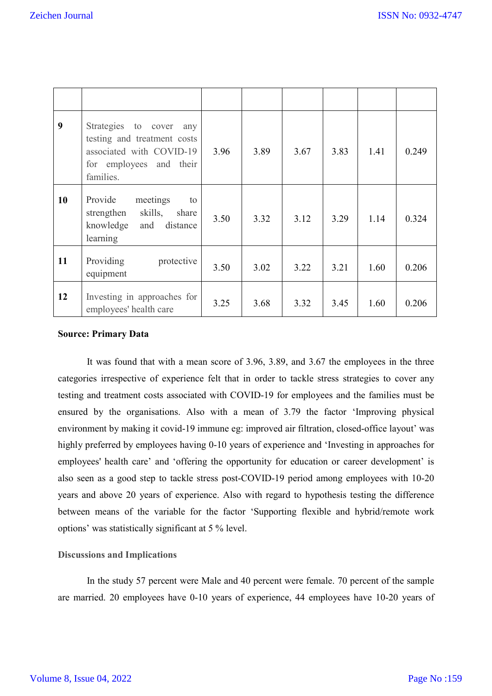| 9  | Strategies to cover<br>any<br>testing and treatment costs<br>associated with COVID-19<br>for employees and their<br>families. | 3.96 | 3.89 | 3.67 | 3.83 | 1.41 | 0.249 |
|----|-------------------------------------------------------------------------------------------------------------------------------|------|------|------|------|------|-------|
| 10 | Provide<br>meetings<br>to<br>skills, share<br>strengthen<br>knowledge and distance<br>learning                                | 3.50 | 3.32 | 3.12 | 3.29 | 1.14 | 0.324 |
| 11 | Providing<br>protective<br>equipment                                                                                          | 3.50 | 3.02 | 3.22 | 3.21 | 1.60 | 0.206 |
| 12 | Investing in approaches for<br>employees' health care                                                                         | 3.25 | 3.68 | 3.32 | 3.45 | 1.60 | 0.206 |

#### **Source: Primary Data**

It was found that with a mean score of 3.96, 3.89, and 3.67 the employees in the three categories irrespective of experience felt that in order to tackle stress strategies to cover any testing and treatment costs associated with COVID-19 for employees and the families must be ensured by the organisations. Also with a mean of 3.79 the factor 'Improving physical environment by making it covid-19 immune eg: improved air filtration, closed-office layout' was highly preferred by employees having 0-10 years of experience and 'Investing in approaches for employees' health care' and 'offering the opportunity for education or career development' is also seen as a good step to tackle stress post-COVID-19 period among employees with 10-20 years and above 20 years of experience. Also with regard to hypothesis testing the difference between means of the variable for the factor 'Supporting flexible and hybrid/remote work options' was statistically significant at 5 % level.

#### **Discussions and Implications**

In the study 57 percent were Male and 40 percent were female. 70 percent of the sample are married. 20 employees have 0-10 years of experience, 44 employees have 10-20 years of